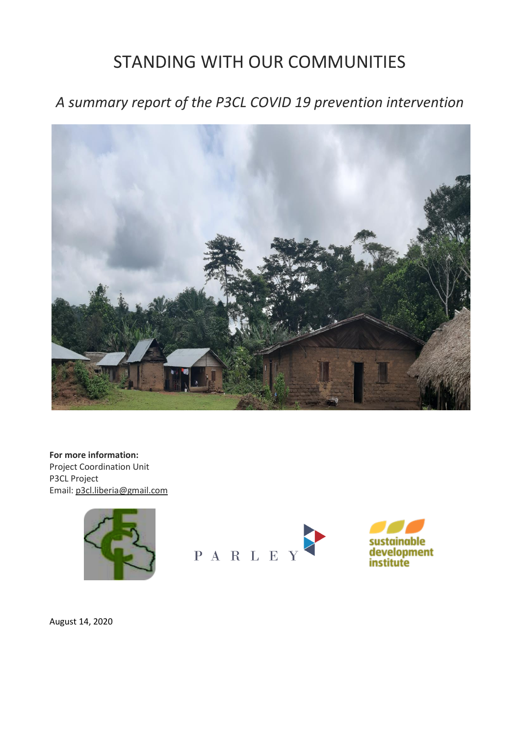# STANDING WITH OUR COMMUNITIES

*A summary report of the P3CL COVID 19 prevention intervention*



**For more information:** Project Coordination Unit P3CL Project Email[: p3cl.liberia@gmail.com](mailto:p3cl.liberia@gmail.com)



PARLEY



August 14, 2020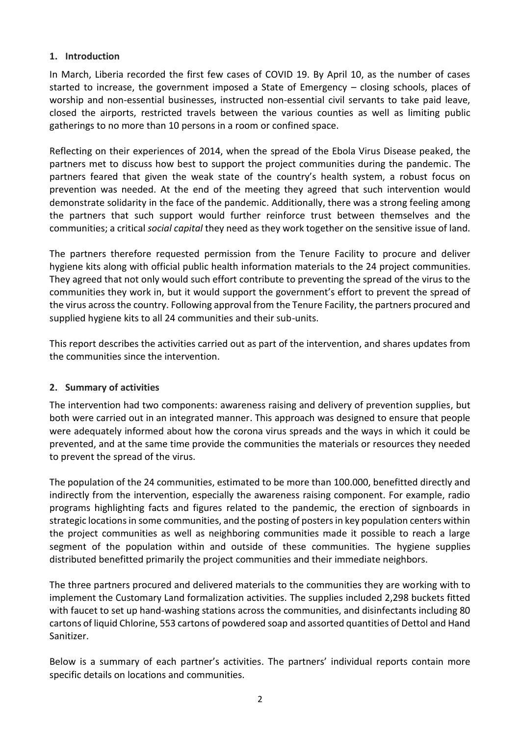#### **1. Introduction**

In March, Liberia recorded the first few cases of COVID 19. By April 10, as the number of cases started to increase, the government imposed a State of Emergency – closing schools, places of worship and non-essential businesses, instructed non-essential civil servants to take paid leave, closed the airports, restricted travels between the various counties as well as limiting public gatherings to no more than 10 persons in a room or confined space.

Reflecting on their experiences of 2014, when the spread of the Ebola Virus Disease peaked, the partners met to discuss how best to support the project communities during the pandemic. The partners feared that given the weak state of the country's health system, a robust focus on prevention was needed. At the end of the meeting they agreed that such intervention would demonstrate solidarity in the face of the pandemic. Additionally, there was a strong feeling among the partners that such support would further reinforce trust between themselves and the communities; a critical *social capital* they need as they work together on the sensitive issue of land.

The partners therefore requested permission from the Tenure Facility to procure and deliver hygiene kits along with official public health information materials to the 24 project communities. They agreed that not only would such effort contribute to preventing the spread of the virus to the communities they work in, but it would support the government's effort to prevent the spread of the virus across the country. Following approval from the Tenure Facility, the partners procured and supplied hygiene kits to all 24 communities and their sub-units.

This report describes the activities carried out as part of the intervention, and shares updates from the communities since the intervention.

#### **2. Summary of activities**

The intervention had two components: awareness raising and delivery of prevention supplies, but both were carried out in an integrated manner. This approach was designed to ensure that people were adequately informed about how the corona virus spreads and the ways in which it could be prevented, and at the same time provide the communities the materials or resources they needed to prevent the spread of the virus.

The population of the 24 communities, estimated to be more than 100.000, benefitted directly and indirectly from the intervention, especially the awareness raising component. For example, radio programs highlighting facts and figures related to the pandemic, the erection of signboards in strategic locations in some communities, and the posting of posters in key population centers within the project communities as well as neighboring communities made it possible to reach a large segment of the population within and outside of these communities. The hygiene supplies distributed benefitted primarily the project communities and their immediate neighbors.

The three partners procured and delivered materials to the communities they are working with to implement the Customary Land formalization activities. The supplies included 2,298 buckets fitted with faucet to set up hand-washing stations across the communities, and disinfectants including 80 cartons of liquid Chlorine, 553 cartons of powdered soap and assorted quantities of Dettol and Hand Sanitizer.

Below is a summary of each partner's activities. The partners' individual reports contain more specific details on locations and communities.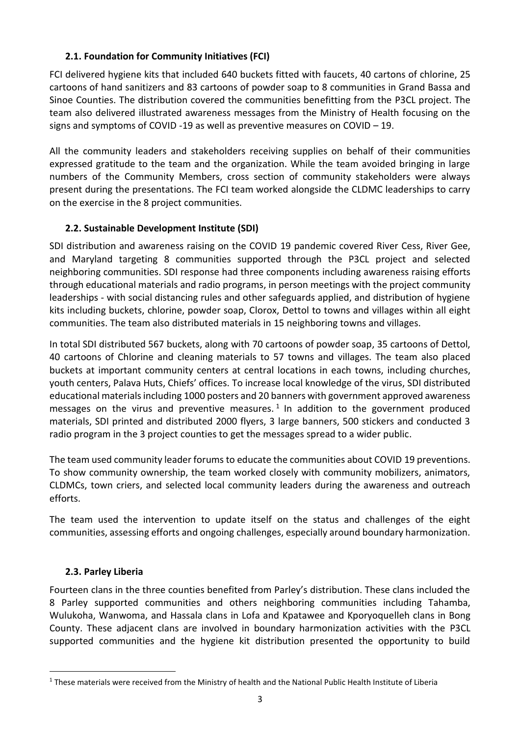## **2.1. Foundation for Community Initiatives (FCI)**

FCI delivered hygiene kits that included 640 buckets fitted with faucets, 40 cartons of chlorine, 25 cartoons of hand sanitizers and 83 cartoons of powder soap to 8 communities in Grand Bassa and Sinoe Counties. The distribution covered the communities benefitting from the P3CL project. The team also delivered illustrated awareness messages from the Ministry of Health focusing on the signs and symptoms of COVID -19 as well as preventive measures on COVID – 19.

All the community leaders and stakeholders receiving supplies on behalf of their communities expressed gratitude to the team and the organization. While the team avoided bringing in large numbers of the Community Members, cross section of community stakeholders were always present during the presentations. The FCI team worked alongside the CLDMC leaderships to carry on the exercise in the 8 project communities.

#### **2.2. Sustainable Development Institute (SDI)**

SDI distribution and awareness raising on the COVID 19 pandemic covered River Cess, River Gee, and Maryland targeting 8 communities supported through the P3CL project and selected neighboring communities. SDI response had three components including awareness raising efforts through educational materials and radio programs, in person meetings with the project community leaderships - with social distancing rules and other safeguards applied, and distribution of hygiene kits including buckets, chlorine, powder soap, Clorox, Dettol to towns and villages within all eight communities. The team also distributed materials in 15 neighboring towns and villages.

In total SDI distributed 567 buckets, along with 70 cartoons of powder soap, 35 cartoons of Dettol, 40 cartoons of Chlorine and cleaning materials to 57 towns and villages. The team also placed buckets at important community centers at central locations in each towns, including churches, youth centers, Palava Huts, Chiefs' offices. To increase local knowledge of the virus, SDI distributed educational materials including 1000 posters and 20 banners with government approved awareness messages on the virus and preventive measures.<sup>1</sup> In addition to the government produced materials, SDI printed and distributed 2000 flyers, 3 large banners, 500 stickers and conducted 3 radio program in the 3 project counties to get the messages spread to a wider public.

The team used community leader forums to educate the communities about COVID 19 preventions. To show community ownership, the team worked closely with community mobilizers, animators, CLDMCs, town criers, and selected local community leaders during the awareness and outreach efforts.

The team used the intervention to update itself on the status and challenges of the eight communities, assessing efforts and ongoing challenges, especially around boundary harmonization.

#### **2.3. Parley Liberia**

 $\overline{a}$ 

Fourteen clans in the three counties benefited from Parley's distribution. These clans included the 8 Parley supported communities and others neighboring communities including Tahamba, Wulukoha, Wanwoma, and Hassala clans in Lofa and Kpatawee and Kporyoquelleh clans in Bong County. These adjacent clans are involved in boundary harmonization activities with the P3CL supported communities and the hygiene kit distribution presented the opportunity to build

<sup>&</sup>lt;sup>1</sup> These materials were received from the Ministry of health and the National Public Health Institute of Liberia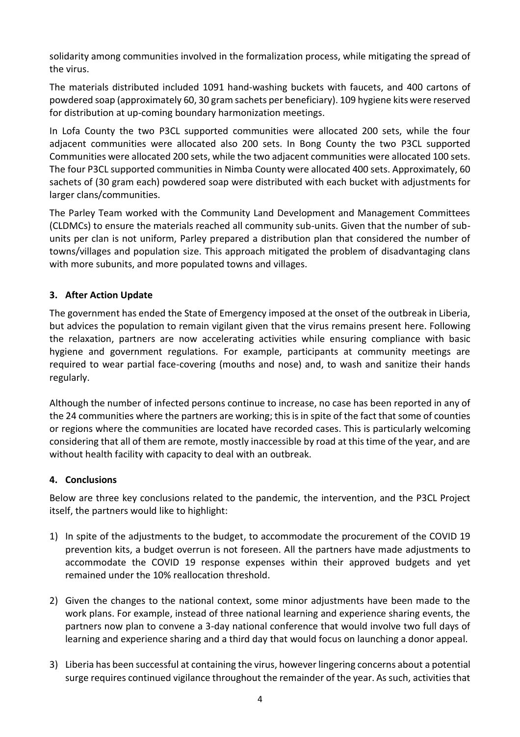solidarity among communities involved in the formalization process, while mitigating the spread of the virus.

The materials distributed included 1091 hand-washing buckets with faucets, and 400 cartons of powdered soap (approximately 60, 30 gram sachets per beneficiary). 109 hygiene kits were reserved for distribution at up-coming boundary harmonization meetings.

In Lofa County the two P3CL supported communities were allocated 200 sets, while the four adjacent communities were allocated also 200 sets. In Bong County the two P3CL supported Communities were allocated 200 sets, while the two adjacent communities were allocated 100 sets. The four P3CL supported communities in Nimba County were allocated 400 sets. Approximately, 60 sachets of (30 gram each) powdered soap were distributed with each bucket with adjustments for larger clans/communities.

The Parley Team worked with the Community Land Development and Management Committees (CLDMCs) to ensure the materials reached all community sub-units. Given that the number of subunits per clan is not uniform, Parley prepared a distribution plan that considered the number of towns/villages and population size. This approach mitigated the problem of disadvantaging clans with more subunits, and more populated towns and villages.

### **3. After Action Update**

The government has ended the State of Emergency imposed at the onset of the outbreak in Liberia, but advices the population to remain vigilant given that the virus remains present here. Following the relaxation, partners are now accelerating activities while ensuring compliance with basic hygiene and government regulations. For example, participants at community meetings are required to wear partial face-covering (mouths and nose) and, to wash and sanitize their hands regularly.

Although the number of infected persons continue to increase, no case has been reported in any of the 24 communities where the partners are working; this is in spite of the fact that some of counties or regions where the communities are located have recorded cases. This is particularly welcoming considering that all of them are remote, mostly inaccessible by road at this time of the year, and are without health facility with capacity to deal with an outbreak.

#### **4. Conclusions**

Below are three key conclusions related to the pandemic, the intervention, and the P3CL Project itself, the partners would like to highlight:

- 1) In spite of the adjustments to the budget, to accommodate the procurement of the COVID 19 prevention kits, a budget overrun is not foreseen. All the partners have made adjustments to accommodate the COVID 19 response expenses within their approved budgets and yet remained under the 10% reallocation threshold.
- 2) Given the changes to the national context, some minor adjustments have been made to the work plans. For example, instead of three national learning and experience sharing events, the partners now plan to convene a 3-day national conference that would involve two full days of learning and experience sharing and a third day that would focus on launching a donor appeal.
- 3) Liberia has been successful at containing the virus, however lingering concerns about a potential surge requires continued vigilance throughout the remainder of the year. As such, activities that